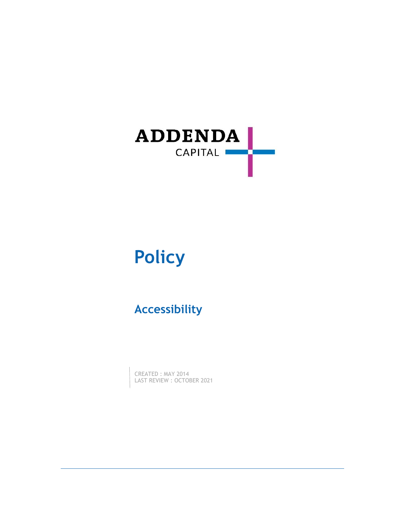

# **Policy**

# **Accessibility**

CREATED : MAY 2014 LAST REVIEW : OCTOBER 2021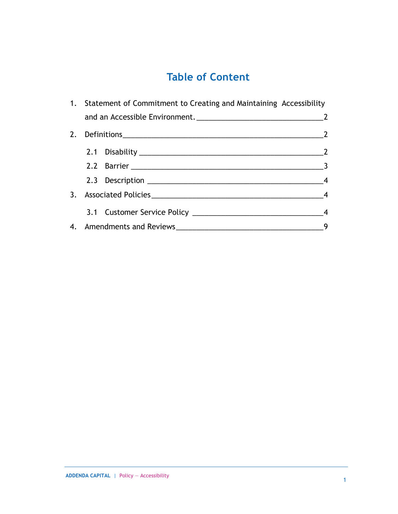# **Table of Content**

|  | 1. Statement of Commitment to Creating and Maintaining Accessibility |                                                                                                                                                                                                                                |                        |  |
|--|----------------------------------------------------------------------|--------------------------------------------------------------------------------------------------------------------------------------------------------------------------------------------------------------------------------|------------------------|--|
|  |                                                                      |                                                                                                                                                                                                                                |                        |  |
|  |                                                                      | $\sim$ 2                                                                                                                                                                                                                       |                        |  |
|  |                                                                      | 2.1 Disability 2012 2020 2021 2021 2022 2024 2022 2024 2022 2024 2022 2024 2022 2024 2022 2024 2022 2024 2022 2024 2022 2024 2022 2022 2022 2022 2024 2022 2022 2022 2024 2022 2022 2022 2022 2022 2022 2022 2022 2022 2022 20 |                        |  |
|  |                                                                      |                                                                                                                                                                                                                                | $\frac{1}{\sqrt{3}}$ 3 |  |
|  |                                                                      |                                                                                                                                                                                                                                |                        |  |
|  |                                                                      |                                                                                                                                                                                                                                |                        |  |
|  |                                                                      |                                                                                                                                                                                                                                |                        |  |
|  |                                                                      |                                                                                                                                                                                                                                |                        |  |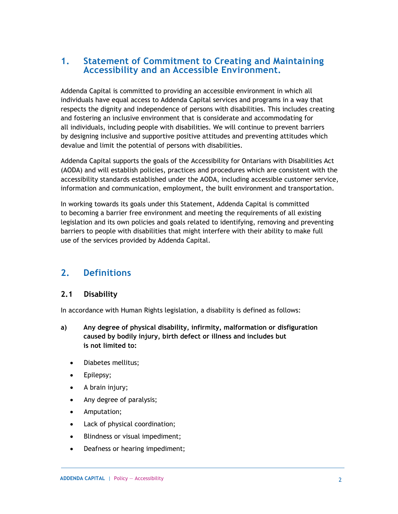### **1. Statement of Commitment to Creating and Maintaining Accessibility and an Accessible Environment.**

Addenda Capital is committed to providing an accessible environment in which all individuals have equal access to Addenda Capital services and programs in a way that respects the dignity and independence of persons with disabilities. This includes creating and fostering an inclusive environment that is considerate and accommodating for all individuals, including people with disabilities. We will continue to prevent barriers by designing inclusive and supportive positive attitudes and preventing attitudes which devalue and limit the potential of persons with disabilities.

Addenda Capital supports the goals of the Accessibility for Ontarians with Disabilities Act (AODA) and will establish policies, practices and procedures which are consistent with the accessibility standards established under the AODA, including accessible customer service, information and communication, employment, the built environment and transportation.

In working towards its goals under this Statement, Addenda Capital is committed to becoming a barrier free environment and meeting the requirements of all existing legislation and its own policies and goals related to identifying, removing and preventing barriers to people with disabilities that might interfere with their ability to make full use of the services provided by Addenda Capital.

## **2. Definitions**

#### **2.1 Disability**

In accordance with Human Rights legislation, a disability is defined as follows:

- **a) Any degree of physical disability, infirmity, malformation or disfiguration caused by bodily injury, birth defect or illness and includes but is not limited to:**
	- Diabetes mellitus;
	- Epilepsy;
	- A brain injury;
	- Any degree of paralysis;
	- Amputation;
	- Lack of physical coordination;
	- Blindness or visual impediment;
	- Deafness or hearing impediment;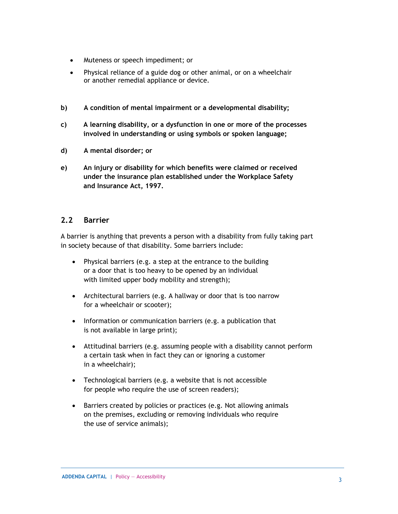- Muteness or speech impediment; or
- Physical reliance of a guide dog or other animal, or on a wheelchair or another remedial appliance or device.
- **b) A condition of mental impairment or a developmental disability;**
- **c) A learning disability, or a dysfunction in one or more of the processes involved in understanding or using symbols or spoken language;**
- **d) A mental disorder; or**
- **e) An injury or disability for which benefits were claimed or received under the insurance plan established under the Workplace Safety and Insurance Act, 1997.**

#### **2.2 Barrier**

A barrier is anything that prevents a person with a disability from fully taking part in society because of that disability. Some barriers include:

- Physical barriers (e.g. a step at the entrance to the building or a door that is too heavy to be opened by an individual with limited upper body mobility and strength);
- Architectural barriers (e.g. A hallway or door that is too narrow for a wheelchair or scooter);
- Information or communication barriers (e.g. a publication that is not available in large print);
- Attitudinal barriers (e.g. assuming people with a disability cannot perform a certain task when in fact they can or ignoring a customer in a wheelchair);
- Technological barriers (e.g. a website that is not accessible for people who require the use of screen readers);
- Barriers created by policies or practices (e.g. Not allowing animals on the premises, excluding or removing individuals who require the use of service animals);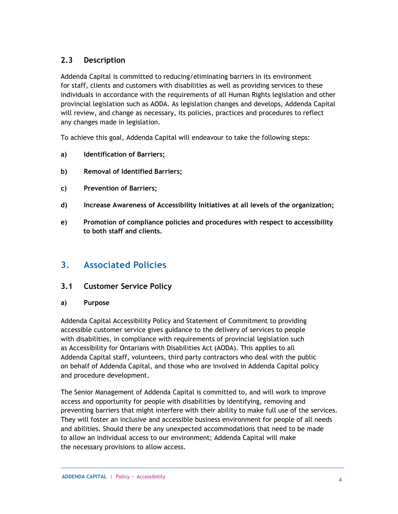### **2.3 Description**

Addenda Capital is committed to reducing/eliminating barriers in its environment for staff, clients and customers with disabilities as well as providing services to these individuals in accordance with the requirements of all Human Rights legislation and other provincial legislation such as AODA. As legislation changes and develops, Addenda Capital will review, and change as necessary, its policies, practices and procedures to reflect any changes made in legislation.

To achieve this goal, Addenda Capital will endeavour to take the following steps:

- **a) Identification of Barriers;**
- **b) Removal of Identified Barriers;**
- **c) Prevention of Barriers;**
- **d) Increase Awareness of Accessibility Initiatives at all levels of the organization;**
- **e) Promotion of compliance policies and procedures with respect to accessibility to both staff and clients.**

### **3. Associated Policies**

#### **3.1 Customer Service Policy**

#### **a) Purpose**

Addenda Capital Accessibility Policy and Statement of Commitment to providing accessible customer service gives guidance to the delivery of services to people with disabilities, in compliance with requirements of provincial legislation such as Accessibility for Ontarians with Disabilities Act (AODA). This applies to all Addenda Capital staff, volunteers, third party contractors who deal with the public on behalf of Addenda Capital, and those who are involved in Addenda Capital policy and procedure development.

The Senior Management of Addenda Capital is committed to, and will work to improve access and opportunity for people with disabilities by identifying, removing and preventing barriers that might interfere with their ability to make full use of the services. They will foster an inclusive and accessible business environment for people of all needs and abilities. Should there be any unexpected accommodations that need to be made to allow an individual access to our environment; Addenda Capital will make the necessary provisions to allow access.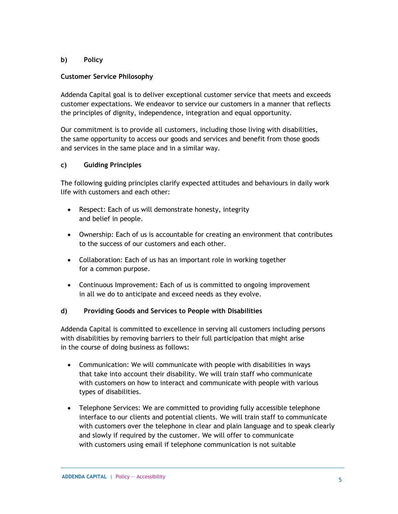#### **b) Policy**

#### **Customer Service Philosophy**

Addenda Capital goal is to deliver exceptional customer service that meets and exceeds customer expectations. We endeavor to service our customers in a manner that reflects the principles of dignity, independence, integration and equal opportunity.

Our commitment is to provide all customers, including those living with disabilities, the same opportunity to access our goods and services and benefit from those goods and services in the same place and in a similar way.

#### **c) Guiding Principles**

The following guiding principles clarify expected attitudes and behaviours in daily work life with customers and each other:

- Respect: Each of us will demonstrate honesty, integrity and belief in people.
- Ownership: Each of us is accountable for creating an environment that contributes to the success of our customers and each other.
- Collaboration: Each of us has an important role in working together for a common purpose.
- Continuous Improvement: Each of us is committed to ongoing improvement in all we do to anticipate and exceed needs as they evolve.

#### **d) Providing Goods and Services to People with Disabilities**

Addenda Capital is committed to excellence in serving all customers including persons with disabilities by removing barriers to their full participation that might arise in the course of doing business as follows:

- Communication: We will communicate with people with disabilities in ways that take into account their disability. We will train staff who communicate with customers on how to interact and communicate with people with various types of disabilities.
- Telephone Services: We are committed to providing fully accessible telephone interface to our clients and potential clients. We will train staff to communicate with customers over the telephone in clear and plain language and to speak clearly and slowly if required by the customer. We will offer to communicate with customers using email if telephone communication is not suitable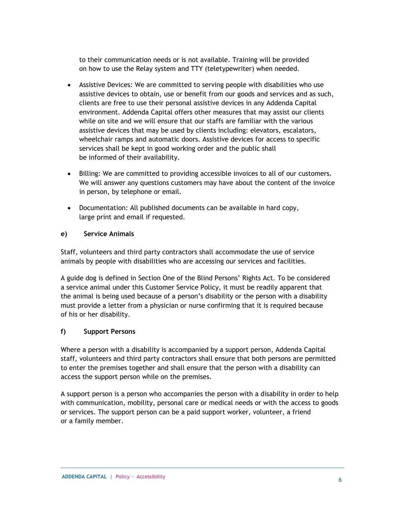to their communication needs or is not available. Training will be provided on how to use the Relay system and TTY (teletypewriter) when needed.

- Assistive Devices: We are committed to serving people with disabilities who use assistive devices to obtain, use or benefit from our goods and services and as such, clients are free to use their personal assistive devices in any Addenda Capital environment. Addenda Capital offers other measures that may assist our clients while on site and we will ensure that our staffs are familiar with the various assistive devices that may be used by clients including: elevators, escalators, wheelchair ramps and automatic doors. Assistive devices for access to specific services shall be kept in good working order and the public shall be informed of their availability.
- Billing: We are committed to providing accessible invoices to all of our customers. We will answer any questions customers may have about the content of the invoice in person, by telephone or email.
- Documentation: All published documents can be available in hard copy, large print and email if requested.

#### **e) Service Animals**

Staff, volunteers and third party contractors shall accommodate the use of service animals by people with disabilities who are accessing our services and facilities.

A guide dog is defined in Section One of the Blind Persons' Rights Act. To be considered a service animal under this Customer Service Policy, it must be readily apparent that the animal is being used because of a person's disability or the person with a disability must provide a letter from a physician or nurse confirming that it is required because of his or her disability.

#### **f) Support Persons**

Where a person with a disability is accompanied by a support person, Addenda Capital staff, volunteers and third party contractors shall ensure that both persons are permitted to enter the premises together and shall ensure that the person with a disability can access the support person while on the premises.

A support person is a person who accompanies the person with a disability in order to help with communication, mobility, personal care or medical needs or with the access to goods or services. The support person can be a paid support worker, volunteer, a friend or a family member.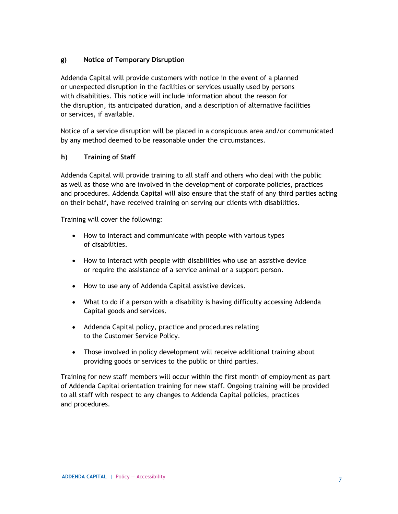#### **g) Notice of Temporary Disruption**

Addenda Capital will provide customers with notice in the event of a planned or unexpected disruption in the facilities or services usually used by persons with disabilities. This notice will include information about the reason for the disruption, its anticipated duration, and a description of alternative facilities or services, if available.

Notice of a service disruption will be placed in a conspicuous area and/or communicated by any method deemed to be reasonable under the circumstances.

#### **h) Training of Staff**

Addenda Capital will provide training to all staff and others who deal with the public as well as those who are involved in the development of corporate policies, practices and procedures. Addenda Capital will also ensure that the staff of any third parties acting on their behalf, have received training on serving our clients with disabilities.

Training will cover the following:

- How to interact and communicate with people with various types of disabilities.
- How to interact with people with disabilities who use an assistive device or require the assistance of a service animal or a support person.
- How to use any of Addenda Capital assistive devices.
- What to do if a person with a disability is having difficulty accessing Addenda Capital goods and services.
- Addenda Capital policy, practice and procedures relating to the Customer Service Policy.
- Those involved in policy development will receive additional training about providing goods or services to the public or third parties.

Training for new staff members will occur within the first month of employment as part of Addenda Capital orientation training for new staff. Ongoing training will be provided to all staff with respect to any changes to Addenda Capital policies, practices and procedures.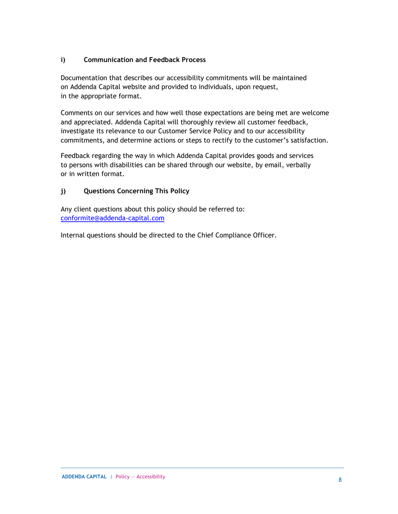#### **i) Communication and Feedback Process**

Documentation that describes our accessibility commitments will be maintained on Addenda Capital website and provided to individuals, upon request, in the appropriate format.

Comments on our services and how well those expectations are being met are welcome and appreciated. Addenda Capital will thoroughly review all customer feedback, investigate its relevance to our Customer Service Policy and to our accessibility commitments, and determine actions or steps to rectify to the customer's satisfaction.

Feedback regarding the way in which Addenda Capital provides goods and services to persons with disabilities can be shared through our website, by email, verbally or in written format.

#### **j) Questions Concerning This Policy**

Any client questions about this policy should be referred to: [conformite@addenda-capital.com](mailto:conformite@addenda-capital.com)

Internal questions should be directed to the Chief Compliance Officer.